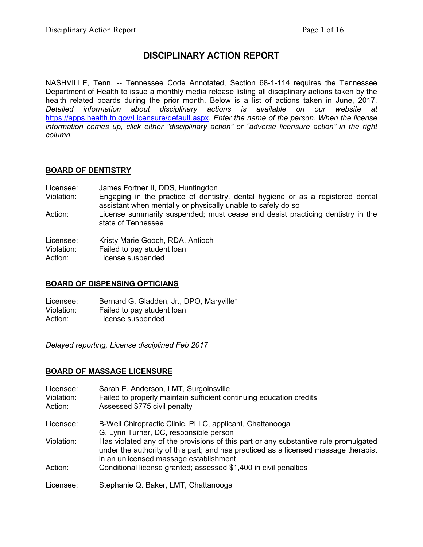# **DISCIPLINARY ACTION REPORT**

NASHVILLE, Tenn. -- Tennessee Code Annotated, Section 68-1-114 requires the Tennessee Department of Health to issue a monthly media release listing all disciplinary actions taken by the health related boards during the prior month. Below is a list of actions taken in June, 2017. *Detailed information about disciplinary actions is available on our website at* <https://apps.health.tn.gov/Licensure/default.aspx>*. Enter the name of the person. When the license information comes up, click either "disciplinary action" or "adverse licensure action" in the right column.*

## **BOARD OF DENTISTRY**

| Licensee:               | James Fortner II, DDS, Huntingdon                                                                                                               |
|-------------------------|-------------------------------------------------------------------------------------------------------------------------------------------------|
| Violation:              | Engaging in the practice of dentistry, dental hygiene or as a registered dental<br>assistant when mentally or physically unable to safely do so |
| Action:                 | License summarily suspended; must cease and desist practicing dentistry in the<br>state of Tennessee                                            |
| Licensee:<br>Violation: | Kristy Marie Gooch, RDA, Antioch<br>Failed to pay student loan                                                                                  |

Action: License suspended

#### **BOARD OF DISPENSING OPTICIANS**

Licensee: Bernard G. Gladden, Jr., DPO, Maryville\* Violation: Failed to pay student loan<br>Action: License suspended License suspended

*Delayed reporting, License disciplined Feb 2017*

## **BOARD OF MASSAGE LICENSURE**

| Licensee:  | Sarah E. Anderson, LMT, Surgoinsville                                                                                                                                                                                |
|------------|----------------------------------------------------------------------------------------------------------------------------------------------------------------------------------------------------------------------|
| Violation: | Failed to properly maintain sufficient continuing education credits                                                                                                                                                  |
| Action:    | Assessed \$775 civil penalty                                                                                                                                                                                         |
| Licensee:  | B-Well Chiropractic Clinic, PLLC, applicant, Chattanooga                                                                                                                                                             |
|            | G. Lynn Turner, DC, responsible person                                                                                                                                                                               |
| Violation: | Has violated any of the provisions of this part or any substantive rule promulgated<br>under the authority of this part; and has practiced as a licensed massage therapist<br>in an unlicensed massage establishment |
| Action:    | Conditional license granted; assessed \$1,400 in civil penalties                                                                                                                                                     |
| Licensee:  | Stephanie Q. Baker, LMT, Chattanooga                                                                                                                                                                                 |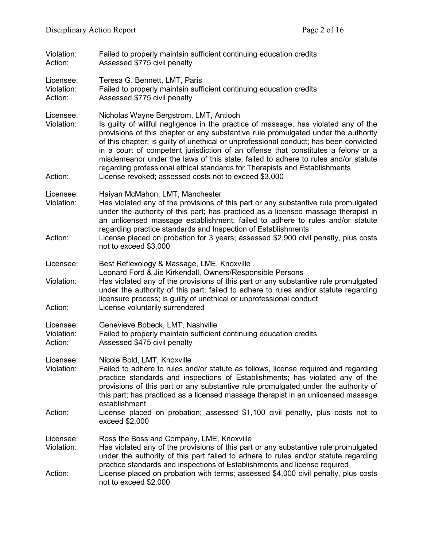| Violation:<br>Action:              | Failed to properly maintain sufficient continuing education credits<br>Assessed \$775 civil penalty                                                                                                                                                                                                                                                                                                                                                                                                                                                                                                                            |  |
|------------------------------------|--------------------------------------------------------------------------------------------------------------------------------------------------------------------------------------------------------------------------------------------------------------------------------------------------------------------------------------------------------------------------------------------------------------------------------------------------------------------------------------------------------------------------------------------------------------------------------------------------------------------------------|--|
| Licensee:<br>Violation:<br>Action: | Teresa G. Bennett, LMT, Paris<br>Failed to properly maintain sufficient continuing education credits<br>Assessed \$775 civil penalty                                                                                                                                                                                                                                                                                                                                                                                                                                                                                           |  |
| Licensee:<br>Violation:<br>Action: | Nicholas Wayne Bergstrom, LMT, Antioch<br>Is guilty of willful negligence in the practice of massage; has violated any of the<br>provisions of this chapter or any substantive rule promulgated under the authority<br>of this chapter; is guilty of unethical or unprofessional conduct; has been convicted<br>in a court of competent jurisdiction of an offense that constitutes a felony or a<br>misdemeanor under the laws of this state; failed to adhere to rules and/or statute<br>regarding professional ethical standards for Therapists and Establishments<br>License revoked; assessed costs not to exceed \$3,000 |  |
| Licensee:<br>Violation:<br>Action: | Haiyan McMahon, LMT, Manchester<br>Has violated any of the provisions of this part or any substantive rule promulgated<br>under the authority of this part; has practiced as a licensed massage therapist in<br>an unlicensed massage establishment; failed to adhere to rules and/or statute<br>regarding practice standards and Inspection of Establishments<br>License placed on probation for 3 years; assessed \$2,900 civil penalty, plus costs<br>not to exceed \$3,000                                                                                                                                                 |  |
| Licensee:<br>Violation:<br>Action: | Best Reflexology & Massage, LME, Knoxville<br>Leonard Ford & Jie Kirkendall, Owners/Responsible Persons<br>Has violated any of the provisions of this part or any substantive rule promulgated<br>under the authority of this part; failed to adhere to rules and/or statute regarding<br>licensure process; is guilty of unethical or unprofessional conduct<br>License voluntarily surrendered                                                                                                                                                                                                                               |  |
| Licensee:<br>Violation:<br>Action: | Genevieve Bobeck, LMT, Nashville<br>Failed to properly maintain sufficient continuing education credits<br>Assessed \$475 civil penalty                                                                                                                                                                                                                                                                                                                                                                                                                                                                                        |  |
| Licensee:<br>Violation:            | Nicole Bold, LMT, Knoxville<br>Failed to adhere to rules and/or statute as follows, license required and regarding<br>practice standards and inspections of Establishments; has violated any of the<br>provisions of this part or any substantive rule promulgated under the authority of<br>this part; has practiced as a licensed massage therapist in an unlicensed massage<br>establishment                                                                                                                                                                                                                                |  |
| Action:                            | License placed on probation; assessed \$1,100 civil penalty, plus costs not to<br>exceed \$2,000                                                                                                                                                                                                                                                                                                                                                                                                                                                                                                                               |  |
| Licensee:<br>Violation:            | Ross the Boss and Company, LME, Knoxville<br>Has violated any of the provisions of this part or any substantive rule promulgated<br>under the authority of this part failed to adhere to rules and/or statute regarding<br>practice standards and inspections of Establishments and license required                                                                                                                                                                                                                                                                                                                           |  |
| Action:                            | License placed on probation with terms; assessed \$4,000 civil penalty, plus costs<br>not to exceed \$2,000                                                                                                                                                                                                                                                                                                                                                                                                                                                                                                                    |  |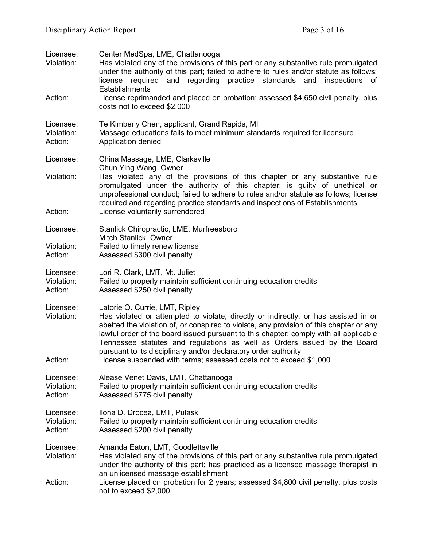| Licensee:<br>Violation:<br>Action: | Center MedSpa, LME, Chattanooga<br>Has violated any of the provisions of this part or any substantive rule promulgated<br>under the authority of this part; failed to adhere to rules and/or statute as follows;<br>license required and regarding<br>practice standards and inspections<br>of<br>Establishments<br>License reprimanded and placed on probation; assessed \$4,650 civil penalty, plus                                                                                                                          |  |  |
|------------------------------------|--------------------------------------------------------------------------------------------------------------------------------------------------------------------------------------------------------------------------------------------------------------------------------------------------------------------------------------------------------------------------------------------------------------------------------------------------------------------------------------------------------------------------------|--|--|
| Licensee:<br>Violation:<br>Action: | costs not to exceed \$2,000<br>Te Kimberly Chen, applicant, Grand Rapids, MI<br>Massage educations fails to meet minimum standards required for licensure<br>Application denied                                                                                                                                                                                                                                                                                                                                                |  |  |
| Licensee:<br>Violation:<br>Action: | China Massage, LME, Clarksville<br>Chun Ying Wang, Owner<br>Has violated any of the provisions of this chapter or any substantive rule<br>promulgated under the authority of this chapter; is guilty of unethical or<br>unprofessional conduct; failed to adhere to rules and/or statute as follows; license<br>required and regarding practice standards and inspections of Establishments<br>License voluntarily surrendered                                                                                                 |  |  |
| Licensee:<br>Violation:<br>Action: | Stanlick Chiropractic, LME, Murfreesboro<br>Mitch Stanlick, Owner<br>Failed to timely renew license<br>Assessed \$300 civil penalty                                                                                                                                                                                                                                                                                                                                                                                            |  |  |
| Licensee:<br>Violation:<br>Action: | Lori R. Clark, LMT, Mt. Juliet<br>Failed to properly maintain sufficient continuing education credits<br>Assessed \$250 civil penalty                                                                                                                                                                                                                                                                                                                                                                                          |  |  |
| Licensee:<br>Violation:<br>Action: | Latorie Q. Currie, LMT, Ripley<br>Has violated or attempted to violate, directly or indirectly, or has assisted in or<br>abetted the violation of, or conspired to violate, any provision of this chapter or any<br>lawful order of the board issued pursuant to this chapter; comply with all applicable<br>Tennessee statutes and regulations as well as Orders issued by the Board<br>pursuant to its disciplinary and/or declaratory order authority<br>License suspended with terms; assessed costs not to exceed \$1,000 |  |  |
| Licensee:<br>Violation:<br>Action: | Alease Venet Davis, LMT, Chattanooga<br>Failed to properly maintain sufficient continuing education credits<br>Assessed \$775 civil penalty                                                                                                                                                                                                                                                                                                                                                                                    |  |  |
| Licensee:<br>Violation:<br>Action: | Ilona D. Drocea, LMT, Pulaski<br>Failed to properly maintain sufficient continuing education credits<br>Assessed \$200 civil penalty                                                                                                                                                                                                                                                                                                                                                                                           |  |  |
| Licensee:<br>Violation:<br>Action: | Amanda Eaton, LMT, Goodlettsville<br>Has violated any of the provisions of this part or any substantive rule promulgated<br>under the authority of this part; has practiced as a licensed massage therapist in<br>an unlicensed massage establishment<br>License placed on probation for 2 years; assessed \$4,800 civil penalty, plus costs<br>not to exceed \$2,000                                                                                                                                                          |  |  |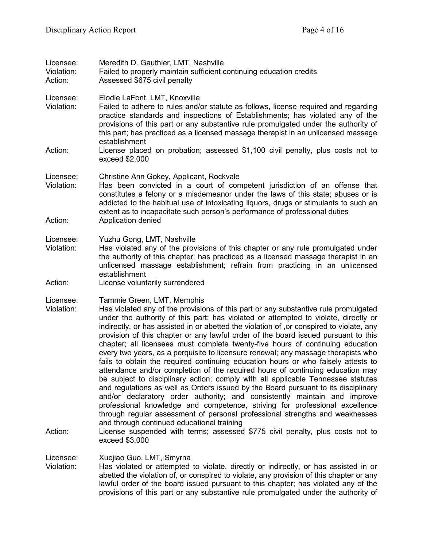| Licensee:<br>Violation:<br>Action: | Meredith D. Gauthier, LMT, Nashville<br>Failed to properly maintain sufficient continuing education credits<br>Assessed \$675 civil penalty                                                                                                                                                                                                                                                                                                                                                                                                                                                                                                                                                                                                                                                                                                                                                                                                                                                                                                                                                                                                                                                                                                                                                                      |
|------------------------------------|------------------------------------------------------------------------------------------------------------------------------------------------------------------------------------------------------------------------------------------------------------------------------------------------------------------------------------------------------------------------------------------------------------------------------------------------------------------------------------------------------------------------------------------------------------------------------------------------------------------------------------------------------------------------------------------------------------------------------------------------------------------------------------------------------------------------------------------------------------------------------------------------------------------------------------------------------------------------------------------------------------------------------------------------------------------------------------------------------------------------------------------------------------------------------------------------------------------------------------------------------------------------------------------------------------------|
| Licensee:<br>Violation:            | Elodie LaFont, LMT, Knoxville<br>Failed to adhere to rules and/or statute as follows, license required and regarding<br>practice standards and inspections of Establishments; has violated any of the<br>provisions of this part or any substantive rule promulgated under the authority of<br>this part; has practiced as a licensed massage therapist in an unlicensed massage<br>establishment                                                                                                                                                                                                                                                                                                                                                                                                                                                                                                                                                                                                                                                                                                                                                                                                                                                                                                                |
| Action:                            | License placed on probation; assessed \$1,100 civil penalty, plus costs not to<br>exceed \$2,000                                                                                                                                                                                                                                                                                                                                                                                                                                                                                                                                                                                                                                                                                                                                                                                                                                                                                                                                                                                                                                                                                                                                                                                                                 |
| Licensee:<br>Violation:            | Christine Ann Gokey, Applicant, Rockvale<br>Has been convicted in a court of competent jurisdiction of an offense that<br>constitutes a felony or a misdemeanor under the laws of this state; abuses or is<br>addicted to the habitual use of intoxicating liquors, drugs or stimulants to such an<br>extent as to incapacitate such person's performance of professional duties                                                                                                                                                                                                                                                                                                                                                                                                                                                                                                                                                                                                                                                                                                                                                                                                                                                                                                                                 |
| Action:                            | Application denied                                                                                                                                                                                                                                                                                                                                                                                                                                                                                                                                                                                                                                                                                                                                                                                                                                                                                                                                                                                                                                                                                                                                                                                                                                                                                               |
| Licensee:<br>Violation:            | Yuzhu Gong, LMT, Nashville<br>Has violated any of the provisions of this chapter or any rule promulgated under<br>the authority of this chapter; has practiced as a licensed massage therapist in an<br>unlicensed massage establishment; refrain from practicing in an unlicensed<br>establishment                                                                                                                                                                                                                                                                                                                                                                                                                                                                                                                                                                                                                                                                                                                                                                                                                                                                                                                                                                                                              |
| Action:                            | License voluntarily surrendered                                                                                                                                                                                                                                                                                                                                                                                                                                                                                                                                                                                                                                                                                                                                                                                                                                                                                                                                                                                                                                                                                                                                                                                                                                                                                  |
| Licensee:<br>Violation:<br>Action: | Tammie Green, LMT, Memphis<br>Has violated any of the provisions of this part or any substantive rule promulgated<br>under the authority of this part; has violated or attempted to violate, directly or<br>indirectly, or has assisted in or abetted the violation of , or conspired to violate, any<br>provision of this chapter or any lawful order of the board issued pursuant to this<br>chapter; all licensees must complete twenty-five hours of continuing education<br>every two years, as a perquisite to licensure renewal; any massage therapists who<br>fails to obtain the required continuing education hours or who falsely attests to<br>attendance and/or completion of the required hours of continuing education may<br>be subject to disciplinary action; comply with all applicable Tennessee statutes<br>and regulations as well as Orders issued by the Board pursuant to its disciplinary<br>and/or declaratory order authority; and consistently maintain and improve<br>professional knowledge and competence, striving for professional excellence<br>through regular assessment of personal professional strengths and weaknesses<br>and through continued educational training<br>License suspended with terms; assessed \$775 civil penalty, plus costs not to<br>exceed \$3,000 |
| Licensee:<br>Violation:            | Xuejiao Guo, LMT, Smyrna<br>Has violated or attempted to violate, directly or indirectly, or has assisted in or<br>abetted the violation of, or conspired to violate, any provision of this chapter or any                                                                                                                                                                                                                                                                                                                                                                                                                                                                                                                                                                                                                                                                                                                                                                                                                                                                                                                                                                                                                                                                                                       |

lawful order of the board issued pursuant to this chapter; has violated any of the provisions of this part or any substantive rule promulgated under the authority of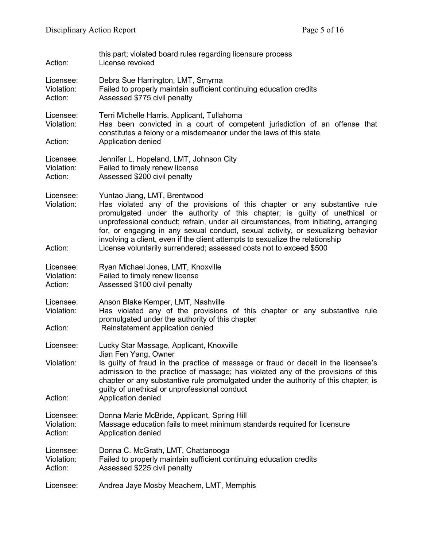| Action:                            | this part; violated board rules regarding licensure process<br>License revoked                                                                                                                                                                                                                                                                                                                                                                                                                                               |  |
|------------------------------------|------------------------------------------------------------------------------------------------------------------------------------------------------------------------------------------------------------------------------------------------------------------------------------------------------------------------------------------------------------------------------------------------------------------------------------------------------------------------------------------------------------------------------|--|
| Licensee:<br>Violation:<br>Action: | Debra Sue Harrington, LMT, Smyrna<br>Failed to properly maintain sufficient continuing education credits<br>Assessed \$775 civil penalty                                                                                                                                                                                                                                                                                                                                                                                     |  |
| Licensee:<br>Violation:<br>Action: | Terri Michelle Harris, Applicant, Tullahoma<br>Has been convicted in a court of competent jurisdiction of an offense that<br>constitutes a felony or a misdemeanor under the laws of this state<br>Application denied                                                                                                                                                                                                                                                                                                        |  |
| Licensee:<br>Violation:<br>Action: | Jennifer L. Hopeland, LMT, Johnson City<br>Failed to timely renew license<br>Assessed \$200 civil penalty                                                                                                                                                                                                                                                                                                                                                                                                                    |  |
| Licensee:<br>Violation:<br>Action: | Yuntao Jiang, LMT, Brentwood<br>Has violated any of the provisions of this chapter or any substantive rule<br>promulgated under the authority of this chapter; is guilty of unethical or<br>unprofessional conduct; refrain, under all circumstances, from initiating, arranging<br>for, or engaging in any sexual conduct, sexual activity, or sexualizing behavior<br>involving a client, even if the client attempts to sexualize the relationship<br>License voluntarily surrendered; assessed costs not to exceed \$500 |  |
| Licensee:<br>Violation:<br>Action: | Ryan Michael Jones, LMT, Knoxville<br>Failed to timely renew license<br>Assessed \$100 civil penalty                                                                                                                                                                                                                                                                                                                                                                                                                         |  |
| Licensee:<br>Violation:<br>Action: | Anson Blake Kemper, LMT, Nashville<br>Has violated any of the provisions of this chapter or any substantive rule<br>promulgated under the authority of this chapter<br>Reinstatement application denied                                                                                                                                                                                                                                                                                                                      |  |
| Licensee:                          | Lucky Star Massage, Applicant, Knoxville                                                                                                                                                                                                                                                                                                                                                                                                                                                                                     |  |
| Violation:                         | Jian Fen Yang, Owner<br>Is guilty of fraud in the practice of massage or fraud or deceit in the licensee's<br>admission to the practice of massage; has violated any of the provisions of this<br>chapter or any substantive rule promulgated under the authority of this chapter; is<br>guilty of unethical or unprofessional conduct                                                                                                                                                                                       |  |
| Action:                            | Application denied                                                                                                                                                                                                                                                                                                                                                                                                                                                                                                           |  |
| Licensee:<br>Violation:<br>Action: | Donna Marie McBride, Applicant, Spring Hill<br>Massage education fails to meet minimum standards required for licensure<br>Application denied                                                                                                                                                                                                                                                                                                                                                                                |  |
| Licensee:<br>Violation:<br>Action: | Donna C. McGrath, LMT, Chattanooga<br>Failed to properly maintain sufficient continuing education credits<br>Assessed \$225 civil penalty                                                                                                                                                                                                                                                                                                                                                                                    |  |
| Licensee:                          | Andrea Jaye Mosby Meachem, LMT, Memphis                                                                                                                                                                                                                                                                                                                                                                                                                                                                                      |  |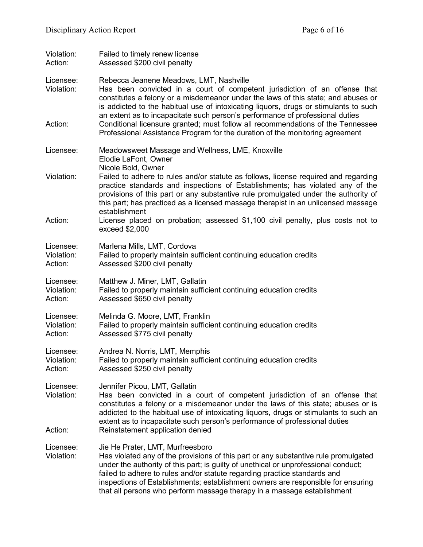| Violation:<br>Action:              | Failed to timely renew license<br>Assessed \$200 civil penalty                                                                                                                                                                                                                                                                                                                                                                                                         |  |
|------------------------------------|------------------------------------------------------------------------------------------------------------------------------------------------------------------------------------------------------------------------------------------------------------------------------------------------------------------------------------------------------------------------------------------------------------------------------------------------------------------------|--|
| Licensee:<br>Violation:<br>Action: | Rebecca Jeanene Meadows, LMT, Nashville<br>Has been convicted in a court of competent jurisdiction of an offense that<br>constitutes a felony or a misdemeanor under the laws of this state; and abuses or<br>is addicted to the habitual use of intoxicating liquors, drugs or stimulants to such<br>an extent as to incapacitate such person's performance of professional duties<br>Conditional licensure granted; must follow all recommendations of the Tennessee |  |
|                                    | Professional Assistance Program for the duration of the monitoring agreement                                                                                                                                                                                                                                                                                                                                                                                           |  |
| Licensee:                          | Meadowsweet Massage and Wellness, LME, Knoxville<br>Elodie LaFont, Owner<br>Nicole Bold, Owner                                                                                                                                                                                                                                                                                                                                                                         |  |
| Violation:                         | Failed to adhere to rules and/or statute as follows, license required and regarding<br>practice standards and inspections of Establishments; has violated any of the<br>provisions of this part or any substantive rule promulgated under the authority of<br>this part; has practiced as a licensed massage therapist in an unlicensed massage                                                                                                                        |  |
| Action:                            | establishment<br>License placed on probation; assessed \$1,100 civil penalty, plus costs not to<br>exceed \$2,000                                                                                                                                                                                                                                                                                                                                                      |  |
| Licensee:<br>Violation:<br>Action: | Marlena Mills, LMT, Cordova<br>Failed to properly maintain sufficient continuing education credits<br>Assessed \$200 civil penalty                                                                                                                                                                                                                                                                                                                                     |  |
| Licensee:<br>Violation:<br>Action: | Matthew J. Miner, LMT, Gallatin<br>Failed to properly maintain sufficient continuing education credits<br>Assessed \$650 civil penalty                                                                                                                                                                                                                                                                                                                                 |  |
| Licensee:<br>Violation:<br>Action: | Melinda G. Moore, LMT, Franklin<br>Failed to properly maintain sufficient continuing education credits<br>Assessed \$775 civil penalty                                                                                                                                                                                                                                                                                                                                 |  |
| Licensee:<br>Violation:<br>Action: | Andrea N. Norris, LMT, Memphis<br>Failed to properly maintain sufficient continuing education credits<br>Assessed \$250 civil penalty                                                                                                                                                                                                                                                                                                                                  |  |
| Licensee:<br>Violation:            | Jennifer Picou, LMT, Gallatin<br>Has been convicted in a court of competent jurisdiction of an offense that<br>constitutes a felony or a misdemeanor under the laws of this state; abuses or is<br>addicted to the habitual use of intoxicating liquors, drugs or stimulants to such an<br>extent as to incapacitate such person's performance of professional duties                                                                                                  |  |
| Action:                            | Reinstatement application denied                                                                                                                                                                                                                                                                                                                                                                                                                                       |  |
| Licensee:<br>Violation:            | Jie He Prater, LMT, Murfreesboro<br>Has violated any of the provisions of this part or any substantive rule promulgated<br>under the authority of this part; is guilty of unethical or unprofessional conduct;<br>failed to adhere to rules and/or statute regarding practice standards and<br>inspections of Establishments; establishment owners are responsible for ensuring<br>that all persons who perform massage therapy in a massage establishment             |  |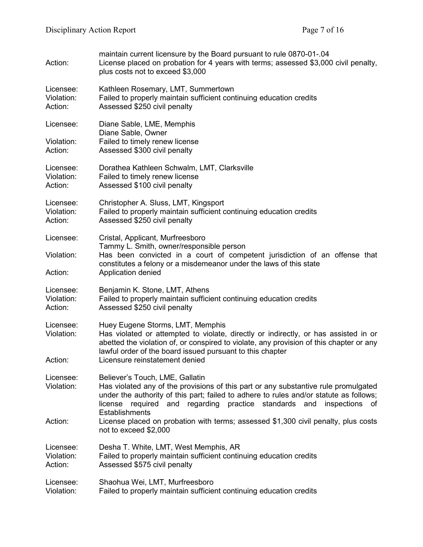| Action:                            | maintain current licensure by the Board pursuant to rule 0870-01-.04<br>License placed on probation for 4 years with terms; assessed \$3,000 civil penalty,<br>plus costs not to exceed \$3,000                                                                                                                   |  |
|------------------------------------|-------------------------------------------------------------------------------------------------------------------------------------------------------------------------------------------------------------------------------------------------------------------------------------------------------------------|--|
| Licensee:<br>Violation:<br>Action: | Kathleen Rosemary, LMT, Summertown<br>Failed to properly maintain sufficient continuing education credits<br>Assessed \$250 civil penalty                                                                                                                                                                         |  |
| Licensee:                          | Diane Sable, LME, Memphis                                                                                                                                                                                                                                                                                         |  |
| Violation:<br>Action:              | Diane Sable, Owner<br>Failed to timely renew license<br>Assessed \$300 civil penalty                                                                                                                                                                                                                              |  |
| Licensee:<br>Violation:<br>Action: | Dorathea Kathleen Schwalm, LMT, Clarksville<br>Failed to timely renew license<br>Assessed \$100 civil penalty                                                                                                                                                                                                     |  |
| Licensee:<br>Violation:<br>Action: | Christopher A. Sluss, LMT, Kingsport<br>Failed to properly maintain sufficient continuing education credits<br>Assessed \$250 civil penalty                                                                                                                                                                       |  |
| Licensee:                          | Cristal, Applicant, Murfreesboro                                                                                                                                                                                                                                                                                  |  |
| Violation:                         | Tammy L. Smith, owner/responsible person<br>Has been convicted in a court of competent jurisdiction of an offense that<br>constitutes a felony or a misdemeanor under the laws of this state                                                                                                                      |  |
| Action:                            | Application denied                                                                                                                                                                                                                                                                                                |  |
| Licensee:<br>Violation:<br>Action: | Benjamin K. Stone, LMT, Athens<br>Failed to properly maintain sufficient continuing education credits<br>Assessed \$250 civil penalty                                                                                                                                                                             |  |
| Licensee:<br>Violation:            | Huey Eugene Storms, LMT, Memphis<br>Has violated or attempted to violate, directly or indirectly, or has assisted in or<br>abetted the violation of, or conspired to violate, any provision of this chapter or any<br>lawful order of the board issued pursuant to this chapter                                   |  |
| Action:                            | Licensure reinstatement denied                                                                                                                                                                                                                                                                                    |  |
| Licensee:<br>Violation:            | Believer's Touch, LME, Gallatin<br>Has violated any of the provisions of this part or any substantive rule promulgated<br>under the authority of this part; failed to adhere to rules and/or statute as follows;<br>license required and regarding practice standards and inspections of<br><b>Establishments</b> |  |
| Action:                            | License placed on probation with terms; assessed \$1,300 civil penalty, plus costs<br>not to exceed \$2,000                                                                                                                                                                                                       |  |
| Licensee:<br>Violation:<br>Action: | Desha T. White, LMT, West Memphis, AR<br>Failed to properly maintain sufficient continuing education credits<br>Assessed \$575 civil penalty                                                                                                                                                                      |  |
| Licensee:<br>Violation:            | Shaohua Wei, LMT, Murfreesboro<br>Failed to properly maintain sufficient continuing education credits                                                                                                                                                                                                             |  |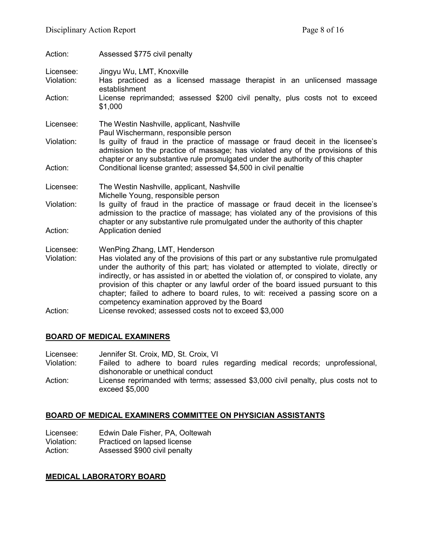| Action:                            | Assessed \$775 civil penalty                                                                                                                                                                                                                                                                                                                                                                                                                                                                                                     |  |
|------------------------------------|----------------------------------------------------------------------------------------------------------------------------------------------------------------------------------------------------------------------------------------------------------------------------------------------------------------------------------------------------------------------------------------------------------------------------------------------------------------------------------------------------------------------------------|--|
| Licensee:<br>Violation:<br>Action: | Jingyu Wu, LMT, Knoxville<br>Has practiced as a licensed massage therapist in an unlicensed massage<br>establishment<br>License reprimanded; assessed \$200 civil penalty, plus costs not to exceed<br>\$1,000                                                                                                                                                                                                                                                                                                                   |  |
| Licensee:                          | The Westin Nashville, applicant, Nashville                                                                                                                                                                                                                                                                                                                                                                                                                                                                                       |  |
| Violation:                         | Paul Wischermann, responsible person<br>Is guilty of fraud in the practice of massage or fraud deceit in the licensee's<br>admission to the practice of massage; has violated any of the provisions of this                                                                                                                                                                                                                                                                                                                      |  |
| Action:                            | chapter or any substantive rule promulgated under the authority of this chapter<br>Conditional license granted; assessed \$4,500 in civil penaltie                                                                                                                                                                                                                                                                                                                                                                               |  |
| Licensee:                          | The Westin Nashville, applicant, Nashville<br>Michelle Young, responsible person                                                                                                                                                                                                                                                                                                                                                                                                                                                 |  |
| Violation:                         | Is guilty of fraud in the practice of massage or fraud deceit in the licensee's<br>admission to the practice of massage; has violated any of the provisions of this<br>chapter or any substantive rule promulgated under the authority of this chapter                                                                                                                                                                                                                                                                           |  |
| Action:                            | Application denied                                                                                                                                                                                                                                                                                                                                                                                                                                                                                                               |  |
| Licensee:<br>Violation:            | WenPing Zhang, LMT, Henderson<br>Has violated any of the provisions of this part or any substantive rule promulgated<br>under the authority of this part; has violated or attempted to violate, directly or<br>indirectly, or has assisted in or abetted the violation of, or conspired to violate, any<br>provision of this chapter or any lawful order of the board issued pursuant to this<br>chapter; failed to adhere to board rules, to wit: received a passing score on a<br>competency examination approved by the Board |  |
| Action:                            | License revoked; assessed costs not to exceed \$3,000                                                                                                                                                                                                                                                                                                                                                                                                                                                                            |  |

# **BOARD OF MEDICAL EXAMINERS**

| Licensee:  | Jennifer St. Croix, MD, St. Croix, VI                                             |  |  |
|------------|-----------------------------------------------------------------------------------|--|--|
| Violation: | Failed to adhere to board rules regarding medical records; unprofessional,        |  |  |
|            | dishonorable or unethical conduct                                                 |  |  |
| Action:    | License reprimanded with terms; assessed \$3,000 civil penalty, plus costs not to |  |  |
|            | exceed \$5,000                                                                    |  |  |

# **BOARD OF MEDICAL EXAMINERS COMMITTEE ON PHYSICIAN ASSISTANTS**

| Licensee:  | Edwin Dale Fisher, PA, Ooltewah |
|------------|---------------------------------|
| Violation: | Practiced on lapsed license     |
| Action:    | Assessed \$900 civil penalty    |

### **MEDICAL LABORATORY BOARD**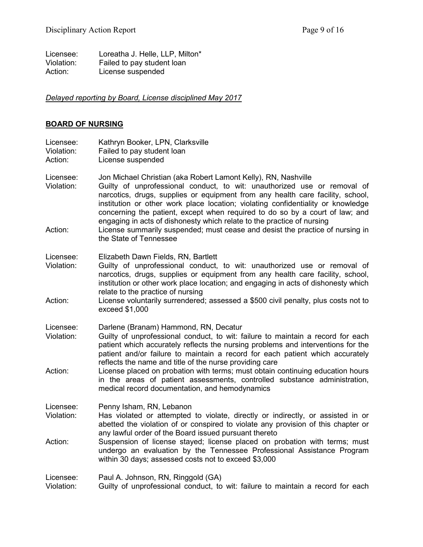| Licensee:  | Loreatha J. Helle, LLP, Milton* |
|------------|---------------------------------|
| Violation: | Failed to pay student loan      |
| Action:    | License suspended               |

# *Delayed reporting by Board, License disciplined May 2017*

#### **BOARD OF NURSING**

| Kathryn Booker, LPN, Clarksville<br>Failed to pay student loan<br>License suspended                                                                                                                                                                                                                                                                                                                                                                                                                                                                         |
|-------------------------------------------------------------------------------------------------------------------------------------------------------------------------------------------------------------------------------------------------------------------------------------------------------------------------------------------------------------------------------------------------------------------------------------------------------------------------------------------------------------------------------------------------------------|
| Jon Michael Christian (aka Robert Lamont Kelly), RN, Nashville<br>Guilty of unprofessional conduct, to wit: unauthorized use or removal of<br>narcotics, drugs, supplies or equipment from any health care facility, school,<br>institution or other work place location; violating confidentiality or knowledge<br>concerning the patient, except when required to do so by a court of law; and<br>engaging in acts of dishonesty which relate to the practice of nursing<br>License summarily suspended; must cease and desist the practice of nursing in |
| the State of Tennessee                                                                                                                                                                                                                                                                                                                                                                                                                                                                                                                                      |
| Elizabeth Dawn Fields, RN, Bartlett<br>Guilty of unprofessional conduct, to wit: unauthorized use or removal of<br>narcotics, drugs, supplies or equipment from any health care facility, school,<br>institution or other work place location; and engaging in acts of dishonesty which<br>relate to the practice of nursing                                                                                                                                                                                                                                |
| License voluntarily surrendered; assessed a \$500 civil penalty, plus costs not to<br>exceed \$1,000                                                                                                                                                                                                                                                                                                                                                                                                                                                        |
| Darlene (Branam) Hammond, RN, Decatur<br>Guilty of unprofessional conduct, to wit: failure to maintain a record for each<br>patient which accurately reflects the nursing problems and interventions for the<br>patient and/or failure to maintain a record for each patient which accurately<br>reflects the name and title of the nurse providing care                                                                                                                                                                                                    |
| License placed on probation with terms; must obtain continuing education hours<br>in the areas of patient assessments, controlled substance administration,<br>medical record documentation, and hemodynamics                                                                                                                                                                                                                                                                                                                                               |
| Penny Isham, RN, Lebanon<br>Has violated or attempted to violate, directly or indirectly, or assisted in or<br>abetted the violation of or conspired to violate any provision of this chapter or<br>any lawful order of the Board issued pursuant thereto                                                                                                                                                                                                                                                                                                   |
| Suspension of license stayed; license placed on probation with terms; must<br>undergo an evaluation by the Tennessee Professional Assistance Program<br>within 30 days; assessed costs not to exceed \$3,000                                                                                                                                                                                                                                                                                                                                                |
|                                                                                                                                                                                                                                                                                                                                                                                                                                                                                                                                                             |

Licensee: Paul A. Johnson, RN, Ringgold (GA)<br>Violation: Guilty of unprofessional conduct, to

Guilty of unprofessional conduct, to wit: failure to maintain a record for each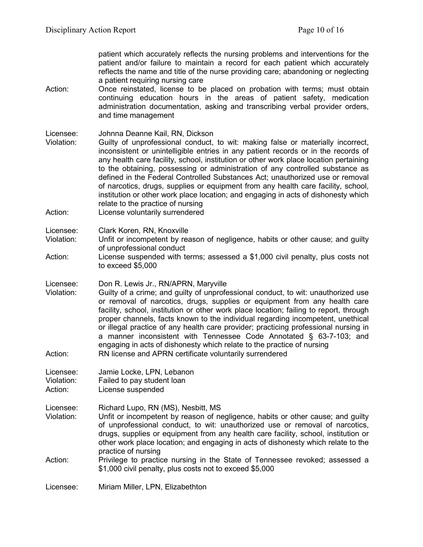patient which accurately reflects the nursing problems and interventions for the patient and/or failure to maintain a record for each patient which accurately reflects the name and title of the nurse providing care; abandoning or neglecting a patient requiring nursing care

Action: Once reinstated, license to be placed on probation with terms; must obtain continuing education hours in the areas of patient safety, medication administration documentation, asking and transcribing verbal provider orders, and time management

### Licensee: Johnna Deanne Kail, RN, Dickson

- Violation: Guilty of unprofessional conduct, to wit: making false or materially incorrect, inconsistent or unintelligible entries in any patient records or in the records of any health care facility, school, institution or other work place location pertaining to the obtaining, possessing or administration of any controlled substance as defined in the Federal Controlled Substances Act; unauthorized use or removal of narcotics, drugs, supplies or equipment from any health care facility, school, institution or other work place location; and engaging in acts of dishonesty which relate to the practice of nursing
- Action: License voluntarily surrendered
- Licensee: Clark Koren, RN, Knoxville
- Violation: Unfit or incompetent by reason of negligence, habits or other cause; and guilty of unprofessional conduct
- Action: License suspended with terms; assessed a \$1,000 civil penalty, plus costs not to exceed \$5,000
- Licensee: Don R. Lewis Jr., RN/APRN, Maryville
- Violation: Guilty of a crime; and guilty of unprofessional conduct, to wit: unauthorized use or removal of narcotics, drugs, supplies or equipment from any health care facility, school, institution or other work place location; failing to report, through proper channels, facts known to the individual regarding incompetent, unethical or illegal practice of any health care provider; practicing professional nursing in a manner inconsistent with Tennessee Code Annotated § 63-7-103; and engaging in acts of dishonesty which relate to the practice of nursing Action: RN license and APRN certificate voluntarily surrendered
- Licensee: Jamie Locke, LPN, Lebanon
- Violation: Failed to pay student loan
- Action: License suspended
- Licensee: Richard Lupo, RN (MS), Nesbitt, MS<br>Violation: Unfit or incompetent by reason of ne Unfit or incompetent by reason of negligence, habits or other cause; and guilty of unprofessional conduct, to wit: unauthorized use or removal of narcotics, drugs, supplies or equipment from any health care facility, school, institution or other work place location; and engaging in acts of dishonesty which relate to the practice of nursing
- Action: Privilege to practice nursing in the State of Tennessee revoked; assessed a \$1,000 civil penalty, plus costs not to exceed \$5,000

Licensee: Miriam Miller, LPN, Elizabethton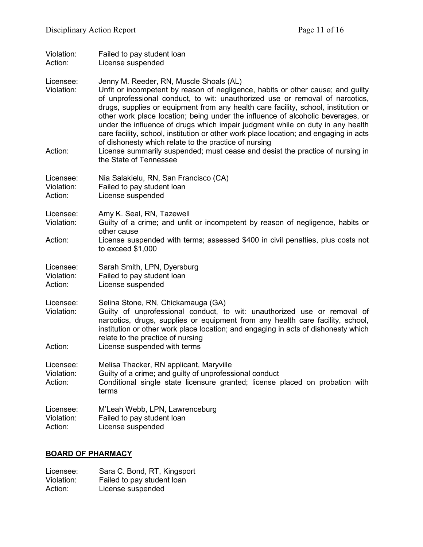| Violation:<br>Action:              | Failed to pay student loan<br>License suspended                                                                                                                                                                                                                                                                                                                                                                                                                                                                                                                                                                                                                                                                                    |
|------------------------------------|------------------------------------------------------------------------------------------------------------------------------------------------------------------------------------------------------------------------------------------------------------------------------------------------------------------------------------------------------------------------------------------------------------------------------------------------------------------------------------------------------------------------------------------------------------------------------------------------------------------------------------------------------------------------------------------------------------------------------------|
| Licensee:<br>Violation:<br>Action: | Jenny M. Reeder, RN, Muscle Shoals (AL)<br>Unfit or incompetent by reason of negligence, habits or other cause; and guilty<br>of unprofessional conduct, to wit: unauthorized use or removal of narcotics,<br>drugs, supplies or equipment from any health care facility, school, institution or<br>other work place location; being under the influence of alcoholic beverages, or<br>under the influence of drugs which impair judgment while on duty in any health<br>care facility, school, institution or other work place location; and engaging in acts<br>of dishonesty which relate to the practice of nursing<br>License summarily suspended; must cease and desist the practice of nursing in<br>the State of Tennessee |
| Licensee:<br>Violation:<br>Action: | Nia Salakielu, RN, San Francisco (CA)<br>Failed to pay student loan<br>License suspended                                                                                                                                                                                                                                                                                                                                                                                                                                                                                                                                                                                                                                           |
| Licensee:<br>Violation:            | Amy K. Seal, RN, Tazewell<br>Guilty of a crime; and unfit or incompetent by reason of negligence, habits or<br>other cause                                                                                                                                                                                                                                                                                                                                                                                                                                                                                                                                                                                                         |
| Action:                            | License suspended with terms; assessed \$400 in civil penalties, plus costs not<br>to exceed $$1,000$                                                                                                                                                                                                                                                                                                                                                                                                                                                                                                                                                                                                                              |
| Licensee:<br>Violation:<br>Action: | Sarah Smith, LPN, Dyersburg<br>Failed to pay student loan<br>License suspended                                                                                                                                                                                                                                                                                                                                                                                                                                                                                                                                                                                                                                                     |
| Licensee:<br>Violation:<br>Action: | Selina Stone, RN, Chickamauga (GA)<br>Guilty of unprofessional conduct, to wit: unauthorized use or removal of<br>narcotics, drugs, supplies or equipment from any health care facility, school,<br>institution or other work place location; and engaging in acts of dishonesty which<br>relate to the practice of nursing<br>License suspended with terms                                                                                                                                                                                                                                                                                                                                                                        |
|                                    |                                                                                                                                                                                                                                                                                                                                                                                                                                                                                                                                                                                                                                                                                                                                    |
| Licensee:<br>Violation:<br>Action: | Melisa Thacker, RN applicant, Maryville<br>Guilty of a crime; and guilty of unprofessional conduct<br>Conditional single state licensure granted; license placed on probation with<br>terms                                                                                                                                                                                                                                                                                                                                                                                                                                                                                                                                        |
| Licensee:<br>Violation:<br>Action: | M'Leah Webb, LPN, Lawrenceburg<br>Failed to pay student loan<br>License suspended                                                                                                                                                                                                                                                                                                                                                                                                                                                                                                                                                                                                                                                  |

# **BOARD OF PHARMACY**

| Licensee:  | Sara C. Bond, RT, Kingsport |
|------------|-----------------------------|
| Violation: | Failed to pay student loan  |
| Action:    | License suspended           |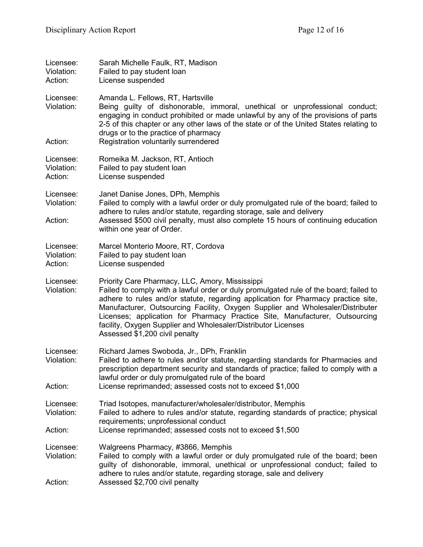| Licensee:<br>Violation:<br>Action: | Sarah Michelle Faulk, RT, Madison<br>Failed to pay student loan<br>License suspended                                                                                                                                                                                                                                                                                                                                                                                                              |
|------------------------------------|---------------------------------------------------------------------------------------------------------------------------------------------------------------------------------------------------------------------------------------------------------------------------------------------------------------------------------------------------------------------------------------------------------------------------------------------------------------------------------------------------|
| Licensee:<br>Violation:            | Amanda L. Fellows, RT, Hartsville<br>Being guilty of dishonorable, immoral, unethical or unprofessional conduct;<br>engaging in conduct prohibited or made unlawful by any of the provisions of parts<br>2-5 of this chapter or any other laws of the state or of the United States relating to<br>drugs or to the practice of pharmacy                                                                                                                                                           |
| Action:                            | Registration voluntarily surrendered                                                                                                                                                                                                                                                                                                                                                                                                                                                              |
| Licensee:<br>Violation:<br>Action: | Romeika M. Jackson, RT, Antioch<br>Failed to pay student loan<br>License suspended                                                                                                                                                                                                                                                                                                                                                                                                                |
| Licensee:<br>Violation:<br>Action: | Janet Danise Jones, DPh, Memphis<br>Failed to comply with a lawful order or duly promulgated rule of the board; failed to<br>adhere to rules and/or statute, regarding storage, sale and delivery<br>Assessed \$500 civil penalty, must also complete 15 hours of continuing education<br>within one year of Order.                                                                                                                                                                               |
| Licensee:<br>Violation:<br>Action: | Marcel Monterio Moore, RT, Cordova<br>Failed to pay student loan<br>License suspended                                                                                                                                                                                                                                                                                                                                                                                                             |
| Licensee:<br>Violation:            | Priority Care Pharmacy, LLC, Amory, Mississippi<br>Failed to comply with a lawful order or duly promulgated rule of the board; failed to<br>adhere to rules and/or statute, regarding application for Pharmacy practice site,<br>Manufacturer, Outsourcing Facility, Oxygen Supplier and Wholesaler/Distributer<br>Licenses; application for Pharmacy Practice Site, Manufacturer, Outsourcing<br>facility, Oxygen Supplier and Wholesaler/Distributor Licenses<br>Assessed \$1,200 civil penalty |
| Licensee:<br>Violation:<br>Action: | Richard James Swoboda, Jr., DPh, Franklin<br>Failed to adhere to rules and/or statute, regarding standards for Pharmacies and<br>prescription department security and standards of practice; failed to comply with a<br>lawful order or duly promulgated rule of the board<br>License reprimanded; assessed costs not to exceed \$1,000                                                                                                                                                           |
| Licensee:<br>Violation:<br>Action: | Triad Isotopes, manufacturer/wholesaler/distributor, Memphis<br>Failed to adhere to rules and/or statute, regarding standards of practice; physical<br>requirements; unprofessional conduct<br>License reprimanded; assessed costs not to exceed \$1,500                                                                                                                                                                                                                                          |
|                                    |                                                                                                                                                                                                                                                                                                                                                                                                                                                                                                   |
| Licensee:<br>Violation:            | Walgreens Pharmacy, #3866, Memphis<br>Failed to comply with a lawful order or duly promulgated rule of the board; been<br>guilty of dishonorable, immoral, unethical or unprofessional conduct; failed to<br>adhere to rules and/or statute, regarding storage, sale and delivery                                                                                                                                                                                                                 |
| Action:                            | Assessed \$2,700 civil penalty                                                                                                                                                                                                                                                                                                                                                                                                                                                                    |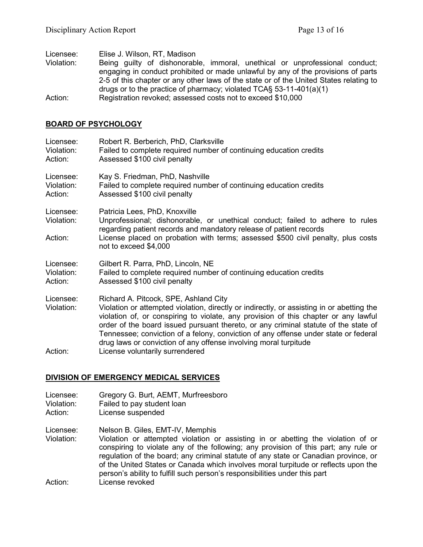Licensee: Elise J. Wilson, RT, Madison Violation: Being guilty of dishonorable, immoral, unethical or unprofessional conduct; engaging in conduct prohibited or made unlawful by any of the provisions of parts 2-5 of this chapter or any other laws of the state or of the United States relating to drugs or to the practice of pharmacy; violated TCA§ 53-11-401(a)(1) Action: Registration revoked; assessed costs not to exceed \$10,000

#### **BOARD OF PSYCHOLOGY**

| Licensee:<br>Violation:<br>Action: | Robert R. Berberich, PhD, Clarksville<br>Failed to complete required number of continuing education credits<br>Assessed \$100 civil penalty                                                                                                                                                                                                                                                                                                                                 |
|------------------------------------|-----------------------------------------------------------------------------------------------------------------------------------------------------------------------------------------------------------------------------------------------------------------------------------------------------------------------------------------------------------------------------------------------------------------------------------------------------------------------------|
| Licensee:<br>Violation:<br>Action: | Kay S. Friedman, PhD, Nashville<br>Failed to complete required number of continuing education credits<br>Assessed \$100 civil penalty                                                                                                                                                                                                                                                                                                                                       |
| Licensee:<br>Violation:            | Patricia Lees, PhD, Knoxville<br>Unprofessional; dishonorable, or unethical conduct; failed to adhere to rules<br>regarding patient records and mandatory release of patient records                                                                                                                                                                                                                                                                                        |
| Action:                            | License placed on probation with terms; assessed \$500 civil penalty, plus costs<br>not to exceed \$4,000                                                                                                                                                                                                                                                                                                                                                                   |
| Licensee:<br>Violation:<br>Action: | Gilbert R. Parra, PhD, Lincoln, NE<br>Failed to complete required number of continuing education credits<br>Assessed \$100 civil penalty                                                                                                                                                                                                                                                                                                                                    |
| Licensee:<br>Violation:            | Richard A. Pitcock, SPE, Ashland City<br>Violation or attempted violation, directly or indirectly, or assisting in or abetting the<br>violation of, or conspiring to violate, any provision of this chapter or any lawful<br>order of the board issued pursuant thereto, or any criminal statute of the state of<br>Tennessee; conviction of a felony, conviction of any offense under state or federal<br>drug laws or conviction of any offense involving moral turpitude |
| Action:                            | License voluntarily surrendered                                                                                                                                                                                                                                                                                                                                                                                                                                             |

## **DIVISION OF EMERGENCY MEDICAL SERVICES**

- Licensee: Gregory G. Burt, AEMT, Murfreesboro<br>Violation: Failed to pay student loan
- Failed to pay student loan
- Action: License suspended

Licensee: Nelson B. Giles, EMT-IV, Memphis

Violation: Violation or attempted violation or assisting in or abetting the violation of or conspiring to violate any of the following; any provision of this part; any rule or regulation of the board; any criminal statute of any state or Canadian province, or of the United States or Canada which involves moral turpitude or reflects upon the person's ability to fulfill such person's responsibilities under this part Action: License revoked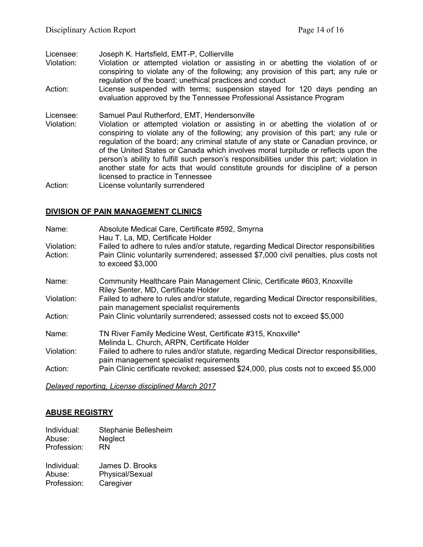Licensee: Joseph K. Hartsfield, EMT-P, Collierville

- Violation: Violation or attempted violation or assisting in or abetting the violation of or conspiring to violate any of the following; any provision of this part; any rule or regulation of the board; unethical practices and conduct
- Action: License suspended with terms; suspension stayed for 120 days pending an evaluation approved by the Tennessee Professional Assistance Program

Licensee: Samuel Paul Rutherford, EMT, Hendersonville

Violation: Violation or attempted violation or assisting in or abetting the violation of or conspiring to violate any of the following; any provision of this part; any rule or regulation of the board; any criminal statute of any state or Canadian province, or of the United States or Canada which involves moral turpitude or reflects upon the person's ability to fulfill such person's responsibilities under this part; violation in another state for acts that would constitute grounds for discipline of a person licensed to practice in Tennessee

Action: License voluntarily surrendered

#### **DIVISION OF PAIN MANAGEMENT CLINICS**

| Name:<br>Violation:<br>Action: | Absolute Medical Care, Certificate #592, Smyrna<br>Hau T. La, MD, Certificate Holder<br>Failed to adhere to rules and/or statute, regarding Medical Director responsibilities<br>Pain Clinic voluntarily surrendered; assessed \$7,000 civil penalties, plus costs not |
|--------------------------------|------------------------------------------------------------------------------------------------------------------------------------------------------------------------------------------------------------------------------------------------------------------------|
|                                | to exceed $$3,000$                                                                                                                                                                                                                                                     |
| Name:                          | Community Healthcare Pain Management Clinic, Certificate #603, Knoxville<br>Riley Senter, MD, Certificate Holder                                                                                                                                                       |
| Violation:                     | Failed to adhere to rules and/or statute, regarding Medical Director responsibilities,<br>pain management specialist requirements                                                                                                                                      |
| Action:                        | Pain Clinic voluntarily surrendered; assessed costs not to exceed \$5,000                                                                                                                                                                                              |
| Name:                          | TN River Family Medicine West, Certificate #315, Knoxville*<br>Melinda L. Church, ARPN, Certificate Holder                                                                                                                                                             |
| Violation:                     | Failed to adhere to rules and/or statute, regarding Medical Director responsibilities,<br>pain management specialist requirements                                                                                                                                      |
| Action:                        | Pain Clinic certificate revoked; assessed \$24,000, plus costs not to exceed \$5,000                                                                                                                                                                                   |

*Delayed reporting, License disciplined March 2017*

#### **ABUSE REGISTRY**

Individual: Stephanie Bellesheim Abuse: Neglect Profession: RN

| Individual: | James D. Brooks |
|-------------|-----------------|
| Abuse:      | Physical/Sexual |
| Profession: | Caregiver       |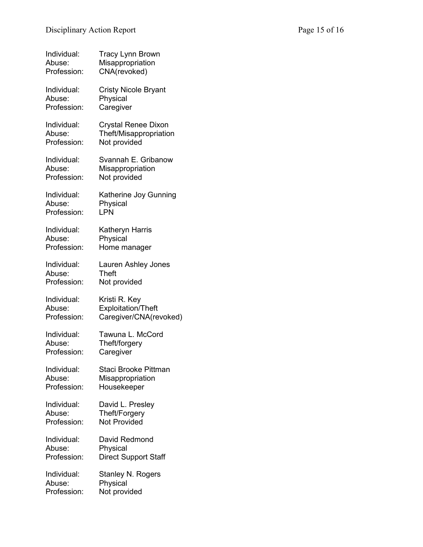| Individual: | <b>Tracy Lynn Brown</b>     |
|-------------|-----------------------------|
| Abuse:      | Misappropriation            |
| Profession: | CNA(revoked)                |
| Individual: | <b>Cristy Nicole Bryant</b> |
| Abuse:      | Physical                    |
| Profession: | Caregiver                   |
| Individual: | <b>Crystal Renee Dixon</b>  |
| Abuse:      | Theft/Misappropriation      |
| Profession: | Not provided                |
| Individual: | Svannah E. Gribanow         |
| Abuse:      | Misappropriation            |
| Profession: | Not provided                |
| Individual: | Katherine Joy Gunning       |
| Abuse:      | Physical                    |
| Profession: | LPN                         |
| Individual: | Katheryn Harris             |
| Abuse:      | Physical                    |
| Profession: | Home manager                |
| Individual: | Lauren Ashley Jones         |
| Abuse:      | <b>Theft</b>                |
| Profession: | Not provided                |
| Individual: | Kristi R. Key               |
| Abuse:      | <b>Exploitation/Theft</b>   |
| Profession: | Caregiver/CNA(revoked)      |
| Individual: | Tawuna L. McCord            |
| Abuse:      | Theft/forgery               |
| Profession: | Caregiver                   |
| Individual: | Staci Brooke Pittman        |
| Abuse:      | Misappropriation            |
| Profession: | Housekeeper                 |
| Individual: | David L. Presley            |
| Abuse:      | Theft/Forgery               |
| Profession: | <b>Not Provided</b>         |
| Individual: | David Redmond               |
| Abuse:      | Physical                    |
| Profession: | <b>Direct Support Staff</b> |
| Individual: | Stanley N. Rogers           |
| Abuse:      | Physical                    |
| Profession: | Not provided                |